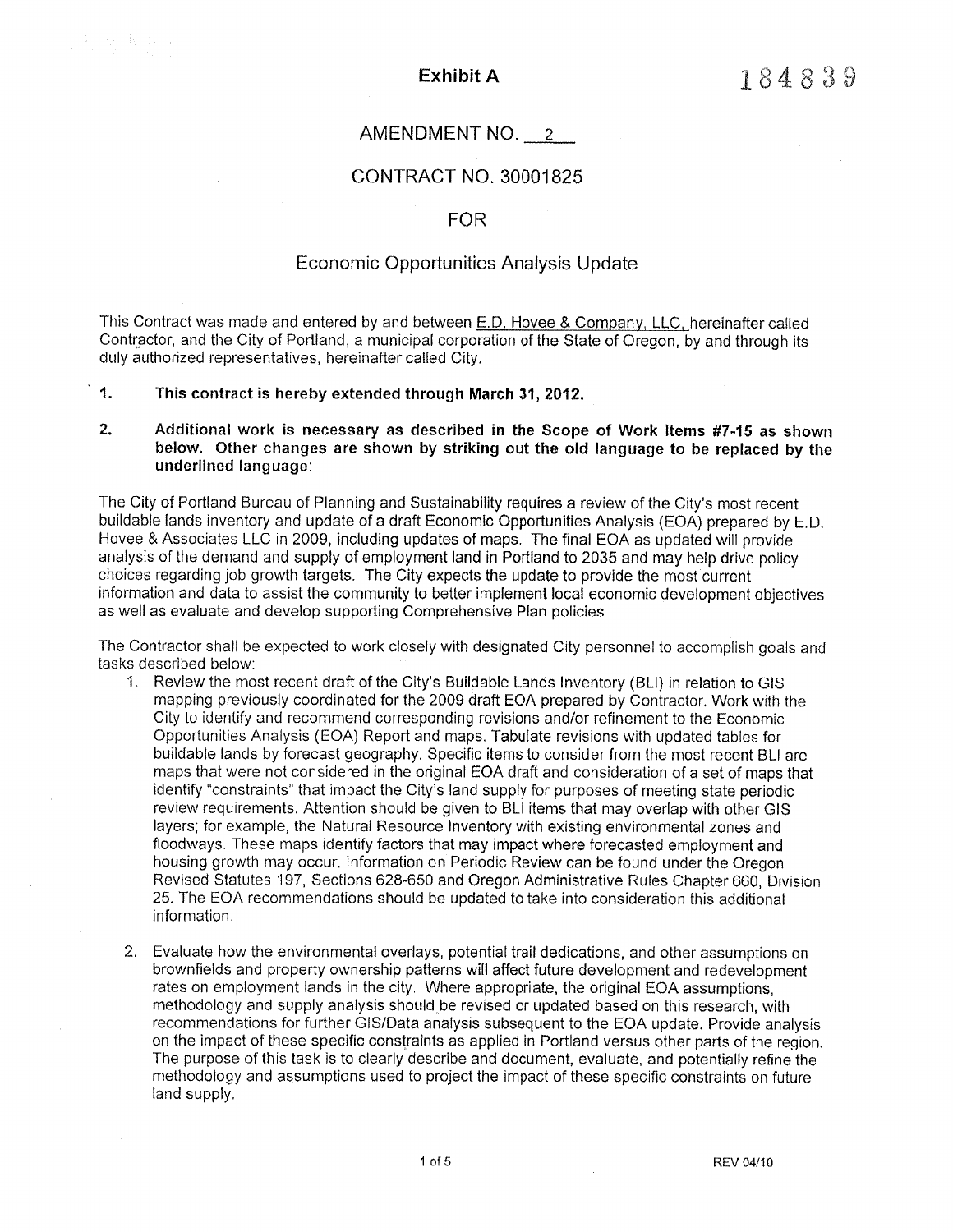# AMENDMENT NO.

# CONTRACT NO, 3OOO1B25

### FOR

#### Economic Opportunities Analysis Update

This Contract was made and entered by and between E.D. Hovee & Company, LLC, hereinafter called Contractor, and the City of Portland, a municipaf corporation of the State of Oregon, by and through its duly authorized representatives, hereinafter called City.

## 1. This contract is hereby extended through March 31,2012.

以为事的

#### 2. Additional work is necessary as described in the Scope of Work Items #7-15 as shown below. Other changes are shown by striking out the old language to be replaced by the underlined language:

The City of Portland Bureau of Planning and Sustainability requires a review of the City's most recent buildable lands inventory and update of a draft Economic Opportunities Analysis (EOA) prepared by E.D. Hovee & Associates LLC in 2009, including updates of maps. The final EOA as updated will provide analysis of the demand and supply of employment land in Portland to 2035 and may help drive policy choices regarding job growth targets. The City expects the update to provide the most current information and data to assist the community to better impfement local economic development objectives as well as evaluate and develop supporting Comprehensíve Plan policies.

The Contractor shall be expected to work closely with designated City personnel to accomplish goals and tasks described below:

- 1. Review the most recent draft of the City's Buildable Lands lnventory (BLl) in relation to GIS mapping previously coordinated for the 2009 dratt EOA prepared by Contractor. Work with the City to identify and recommend corresponding revisions and/or refinement to the Economic Opportunities Analysìs (EOA) Report and maps. TabuIate revisions with updated tables for buildable lands by forecast geography. Specific items to consider from the most recent BLI are maps that were not considered in the original ËOA draft and consideration of a set of maps that identify "constraints" that impact the City's Iand supply for purposes of meeting state periodic review requirements. Attention should be given to BLI items that may overlap with other GIS layers; for example, the Natural Resource lnventory with exísting environmental zones and floodways. These maps identify factors that may impact where forecasted employment and housing growth may occur. lnformation on Periodic Review can be found under the Oregon Revised Statutes 197, Sections 628-650 and Oregon Administrative Rules Chapter 660, Division 25. The EOA recommendations should be updated to take into consideration this additional information.
- 2. Evaluate how the environmental overlays, potential trail dedications, and other assumptions on brownfields and property ownership patterns witl affect future development and redevelopment rates on employment lands in the city. Where appropriate, the original EOA assumptions, methodology and supply analysis should be revised or updated based on this research, with recommendations for further GIS/Data analysis subsequent to the EOA update, Provide analysis on the ìmpact of these specific constraints as applied in Portland versus other parts of the region. The purpose of this task ìs to clearly describe and document, evaluate, and potentially refine the methodology and assumptions used to project the ìmpact of these specific constraints on future land supply.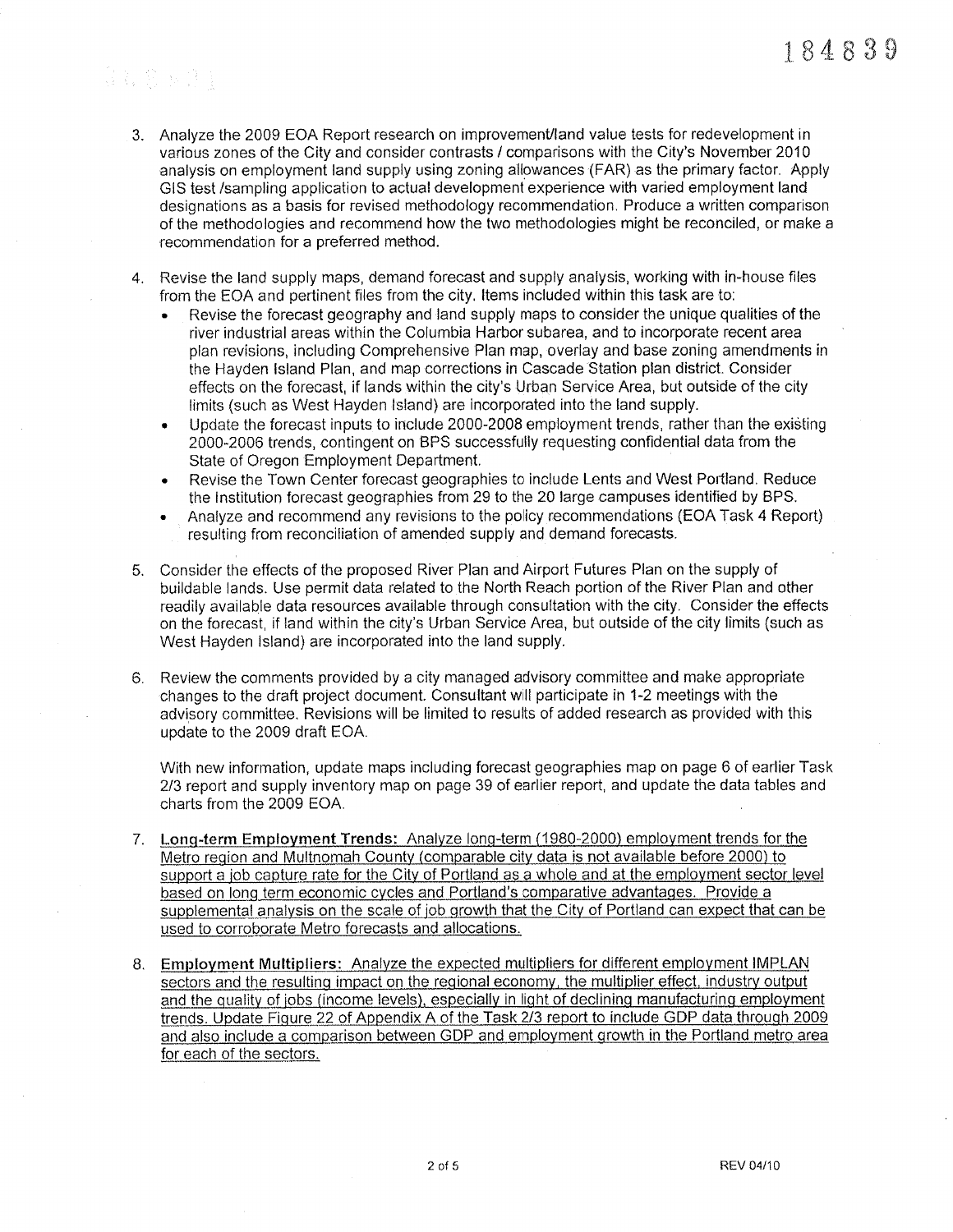# San Sherika

- 3. Analyze the 2009 EOA Report research on improvement/land value tests for redevelopment in various zones of the City and consider contrasts / comparisons with the City's November 2010 analysis on employment land supply using zoning allowances (FAR) as the primary factor. Apply GIS test /sampling application to actual development experience with varied employment land designations as a basis for revised methodology recommendation. Produce a written comparison of the methodologies and recommend how the two methodologies might be reconciled, or make a recommendation for a prefered method.
- Revise the land supply maps, demand forecast and supply analysis, working with in-house fìles from the EOA and pertinent files from the city. ltems included within this task are to:
	- . Revise the forecast geography and land supply maps to consider the unique qualities of the river industrial areas within the Columbia Harbor subarea, and to incorporate recent area plan revísions, including Comprehensive Plan map, overlay and base zoning amendments in the Hayden lsland Plan, and map corrections in Cascade Station plan district. Consider effects on the forecast, if lands within the city's Urban Service Area, but outside of the city limits {such as West Hayden lsland) are incorporated into the land supply.
	- Update the forecast inputs to include 2000-2008 employment trends, rather than the existing 2000-2006 trends, contìngent on BFS successfully requesting confìdential daia from the State of Oregon Ëmployment Department,
	- . Revise the Town Center forecast geographies to include Lents and West Portland. Reduce the lnstitution forecast geographies from 29 to the 20 large campuses identified by BPS.
	- . Analyze and recommend any revisions to the policy recommendations (EOA Task 4 Report) resulting from reconcifiation of amended supply and demand foreçasts.
- 5. Consider the effects of the proposed River Plan and Airport Futures Plan on the supply of buildable lands. Use permit data ¡elated to the North Reach portion of the River Plan and other readily available data resources available through consultation with the city. Consider the effects on the forecast, if land within the city's Urban Service Area, but outside of the city limits (such as West Hayden Island) are incorporated into the land supply.
- Review the comments provided by a city managed advisory committee and make appropriate changes to the draft project document. Consuliant will participate in 1-2 meetings with the advisory committee. Revisions will be limited to results of added research as provided with this update to the 2009 draft EOA.

With new information, update maps including forecast geographies map on page 6 of earlier Task 2/3 report and supply inventory map on page 39 of earlier report, and update the data tables and charts from the 2009 EOA.

- 7. Long-term Employment Trends: Analyze long-term (1980-2000) employment trends for the Metro region and Multnomah County (comparable city data is not available before 2000) to support a job capture rate for the City of Portland as a whole and at the employment sector level<br>based on long term economic cycles and Portland's comparative advantages. Provide a supplemental analysis on the scale of job growth that the City of Portland can expect that can be used to corroborate Metro forecasts and allocations.
- 8. Employment Multipliers: Analyze the expected multipliers for different employment IMPLAN sectors and the resulting impact on the regional economy, the multiplier effect, industry output and the quality of jobs (income levels), especially in light of declining manufacturing employment trends. Update Fiqure 22 of Appendix A of the Task 2/3 report to ínclude GDP data throuqh 2009 and also include a comparison between GDP and employment growth in the Portland metro area for each of the sectors.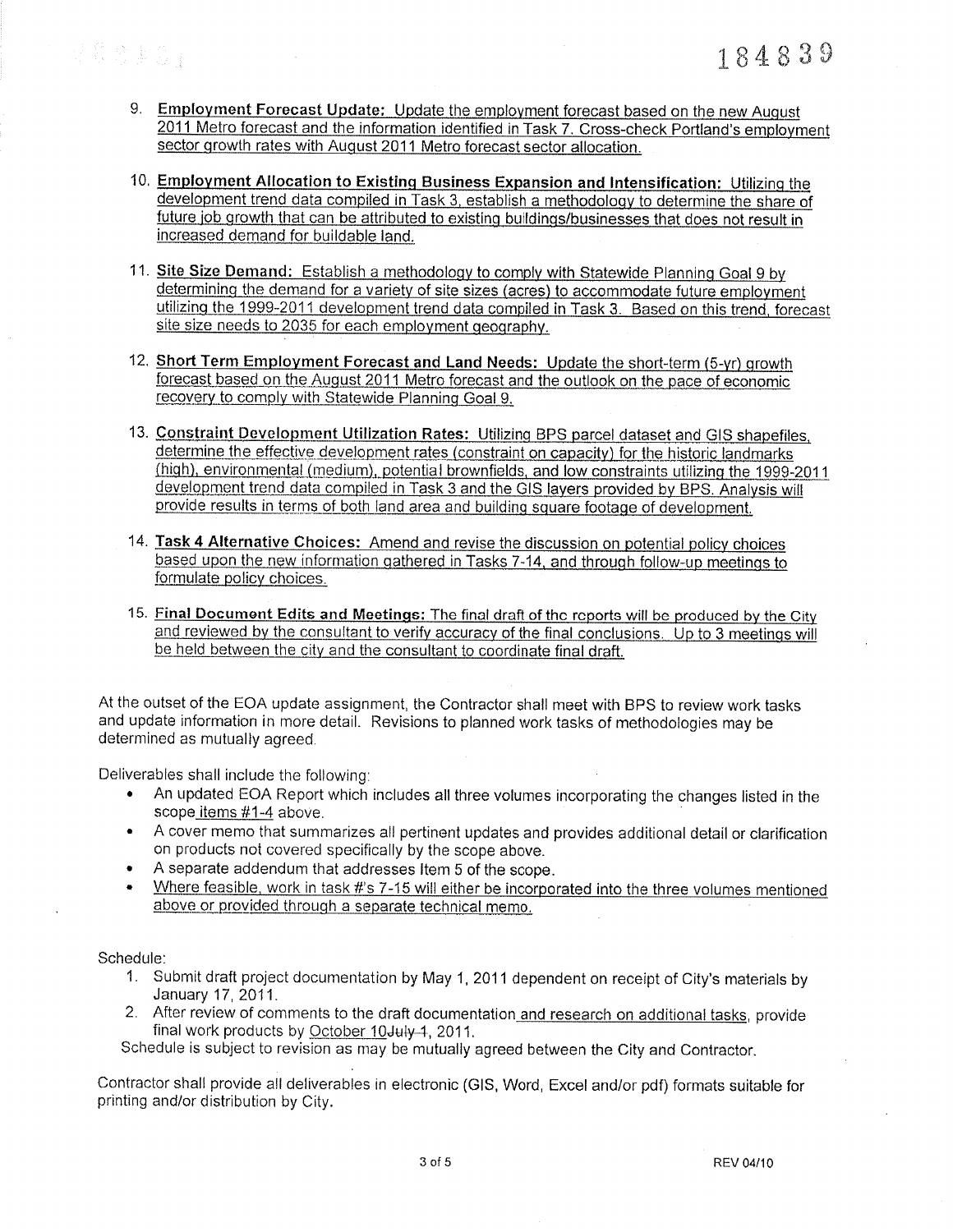是黎陵重赏

- 9. Employment Forecast Update: Update the employment forecast based on the new August 2011 Metro forecast and the information identified in Task 7. Cross-check Portland's employment sector growth rates with August 2011 Metro forecast sector allocation.
- 10. Employment Allocation to Existing Business Expansion and Intensification: Utilizing the development trend data compiled in Task 3, establish a methodology to determine the share of future job growth that can be attributed to existing buildings/businesses that does not result in increased demand for buildable land.
- 11. Site Size Demand: Establish a methodology to comply with Statewide Planning Goal 9 by determining the demand for a variety of site sizes (acres) to accommodate future employment utilizing the 1999-2011 development trend data compiled in Task 3. Based on this trend, forecast site size needs to 2035 for each employment geography.
- 12. Short Term Employment Forecast and Land Needs: Update the short-term (5-yr) growth forecast based on the August 2011 Metro forecast and the outlook on the pace of economic recovery to comply with Statewide Planning Goal 9.
- 13. Constraint Development Utilization Rates: Utilizing BPS parcel dataset and GIS shapefiles, determine the effective development rates (constraint on capacity) for the historic landmarks (high), environmental (medium), potential brownfields, and low constraints utilizing the 1999-2011 development trend data compiled in Task 3 and the GIS layers provided by BPS. Analysis will provide results in terms of both land area and building square footage of development.
- 14. Task 4 Alternative Choices: Amend and revise the discussion on potential policy choices based upon the new information gathered in Tasks 7-14, and through follow-up meetings to formulate policy choices.
- 15. Final Document Edits and Meetings: The final draft of the reports will be produced by the City and reviewed by the consultant to verify accuracy of the final conclusions. Up to 3 meetings will be held between the city and the consultant to coordinate final draft.

At the outset of the EOA update assignment, the Contractor shall meet with BPS to review work tasks and update information in more detail. Revisions to planned work tasks of methodologies may be determined as mutually agreed.

Deliverables shall include the following:

- An updated EOA Report which includes all three volumes incorporating the changes listed in the scope items #1-4 above.
- A cover memo that summarizes all pertinent updates and provides additional detail or clarification  $\bullet$ on products not covered specifically by the scope above.
- A separate addendum that addresses Item 5 of the scope.  $\bullet$
- Where feasible, work in task #'s 7-15 will either be incorporated into the three volumes mentioned above or provided through a separate technical memo.

Schedule:

- 1. Submit draft project documentation by May 1, 2011 dependent on receipt of City's materials by January 17, 2011.
- 2. After review of comments to the draft documentation and research on additional tasks, provide final work products by October 10 July 1, 2011.

Schedule is subject to revision as may be mutually agreed between the City and Contractor.

Contractor shall provide all deliverables in electronic (GIS, Word, Excel and/or pdf) formats suitable for printing and/or distribution by City.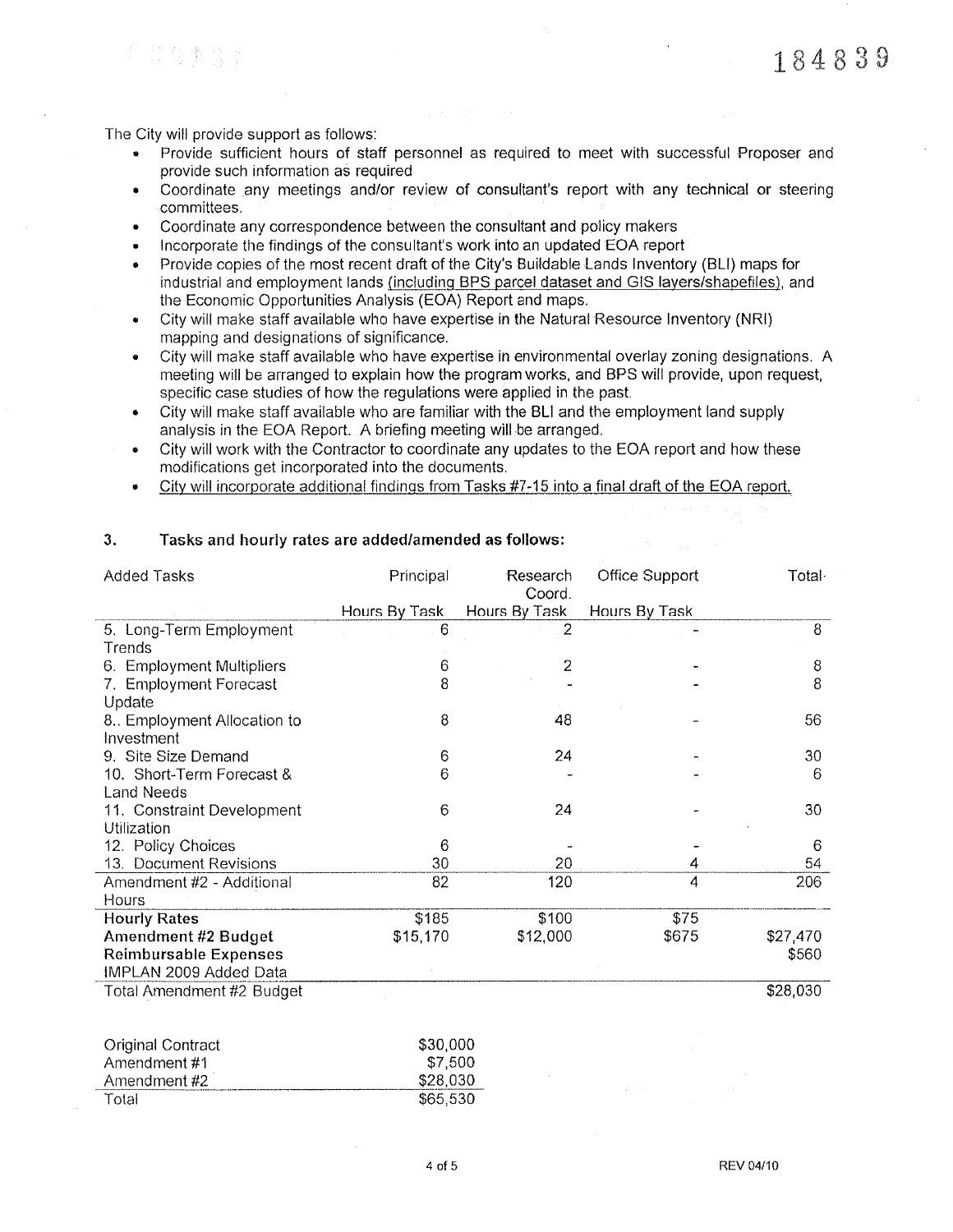184839

The City will provide support as follows:

i Sistema

- Provide sufficient hours of staff personnel as required to meet with successful Proposer and provide such information as required
- Coordinate any meetings and/or review of consultant's report with any technical or steering  $\bullet$ committees.
- $\bullet$ Coordinate any correspondence between the consultant and policy makers
- Incorporate the findings of the consultant's work into an updated EOA report
- Provide copies of the most recent draft of the City's Buildable Lands Inventory (BLI) maps for  $\bullet$ industrial and employment lands (including BPS parcel dataset and GIS layers/shapefiles), and the Economic Opportunities Analysis (EOA) Report and maps.
- City will make staff available who have expertise in the Natural Resource Inventory (NRI)  $\bullet$ mapping and designations of significance.
- City will make staff available who have expertise in environmental overlay zoning designations. A meeting will be arranged to explain how the program works, and BPS will provide, upon request, specific case studies of how the regulations were applied in the past.
- City will make staff available who are familiar with the BLI and the employment land supply  $\bullet$ analysis in the EOA Report. A briefing meeting will be arranged.
- City will work with the Contractor to coordinate any updates to the EOA report and how these  $\bullet$ modifications get incorporated into the documents.
- City will incorporate additional findings from Tasks #7-15 into a final draft of the EOA report.

| Added Tasks                  | Principal     | Research<br>Coord. | Office Support | Total·   |
|------------------------------|---------------|--------------------|----------------|----------|
|                              | Hours By Task | Hours By Task      | Hours By Task  |          |
| 5. Long-Term Employment      | 6             |                    |                | 8        |
| Trends                       |               |                    |                |          |
| 6. Employment Multipliers    | 6             | 2                  |                | 8        |
| 7. Employment Forecast       | 8             |                    |                | 8        |
| Update                       |               |                    |                |          |
| 8. Employment Allocation to  | 8             | 48                 |                | 56       |
| Investment                   |               |                    |                |          |
| 9. Site Size Demand          | 6             | 24                 |                | 30       |
| 10. Short-Term Forecast &    | 6             |                    |                | 6        |
| <b>Land Needs</b>            |               |                    |                |          |
| 11. Constraint Development   | 6             | 24                 |                | 30       |
| Utilization                  |               |                    |                |          |
| 12. Policy Choices           | 6             |                    |                | 6        |
| 13. Document Revisions       | 30            | 20                 | 4              | 54       |
| Amendment #2 - Additional    | 82            | 120                | 4              | 206      |
| Hours                        |               |                    |                |          |
| <b>Hourly Rates</b>          | \$185         | \$100              | \$75           |          |
| Amendment #2 Budget          | \$15,170      | \$12,000           | \$675          | \$27,470 |
| <b>Reimbursable Expenses</b> |               |                    |                | \$560    |
| IMPLAN 2009 Added Data       |               |                    |                |          |
| Total Amendment #2 Budget    |               |                    |                | \$28,030 |

#### $3.$ Tasks and hourly rates are added/amended as follows:

| Original Contract | \$30,000 |
|-------------------|----------|
| Amendment #1      | \$7,500  |
| Amendment #2      | \$28,030 |
| Total             | \$65,530 |